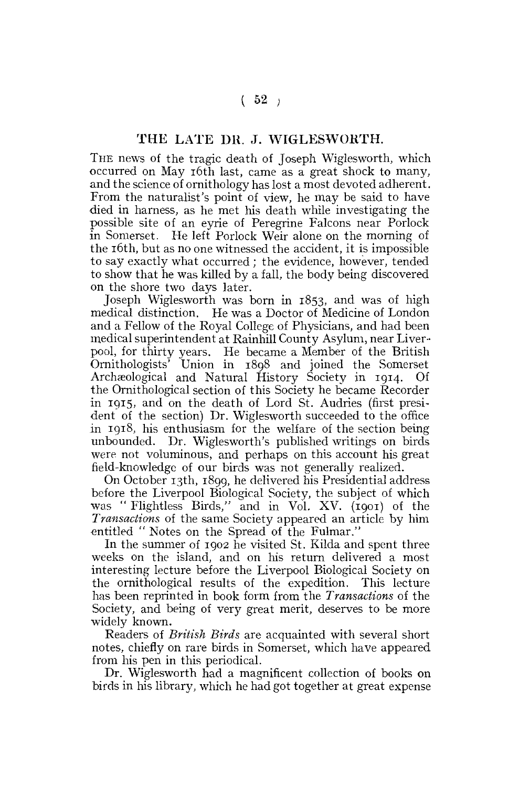## T HE LATE **DR.** J. **WIGLESWORTH.**

THE news of the tragic death of Joseph Wiglesworth, which occurred on May 16th last, came as a great shock to many, and the science of ornithology has lost a most devoted adherent. From the naturalist's point of view, he may be said to have died in harness, as he met his death while investigating the possible site of an eyrie of Peregrine Falcons near Porlock in Somerset. He left Porlock Weir alone on the morning of the 16th, but as no one witnessed the accident, it is impossible to say exactly what occurred ; the evidence, however, tended to show that he was killed by a fall, the body being discovered on the shore two days later.

Joseph Wiglesworth was born in 1853, and was of high medical distinction. He was a Doctor of Medicine of London and a Fellow of the Royal College of Physicians, and had been medical superintendent at Rainhill County Asylum, near Liverpool, for thirty years. He became a Member of the British Ornithologists' Union in 1898 and joined the Somerset Archasological and Natural History Society in 1914. Of the Ornithological section of this Society he became Recorder in 1915, and on the death of Lord St. Audries (first president of the section) Dr. Wiglesworth succeeded to the office in 1918, his enthusiasm for the welfare of the section being unbounded. Dr. Wiglesworth's published writings on birds were not voluminous, and perhaps on this account his great field-knowledge of our birds was not generally realized.

On October 13th, 1899, he delivered his Presidential address before the Liverpool Biological Society, the subject of which was " Flightless Birds," and in Vol. XV. (1901) of the *Transactions* of the same Society appeared an article by him entitled " Notes on the Spread of the Fulmar."

In the summer of 1902 he visited St. Kilda and spent three weeks on the island, and on his return delivered a most interesting lecture before the Liverpool Biological Society on the ornithological results of the expedition. This lecture has been reprinted in book form from the *Transactions* of the Society, and being of very great merit, deserves to be more widely known.

Readers of *British Birds* are acquainted with several short notes, chiefly on rare birds in Somerset, which have appeared from his pen in this periodical.

Dr. Wiglesworth had a magnificent collection of books on birds in his library, which he had got together at great expense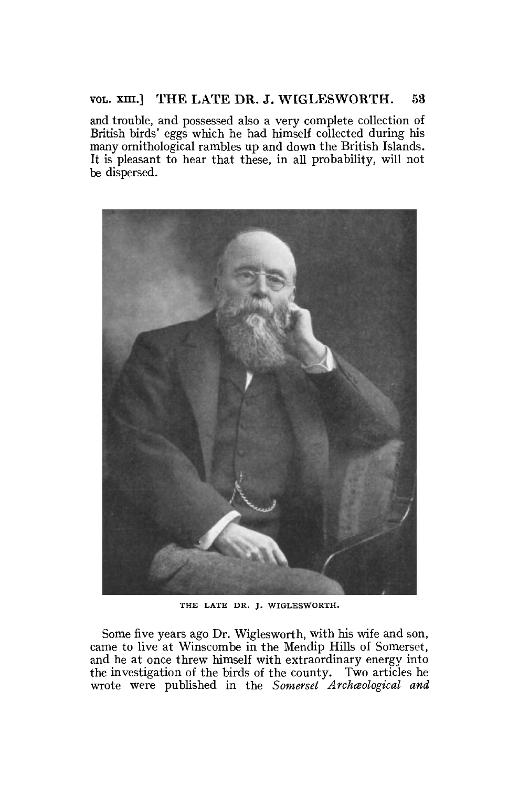## **VOL. xm.] THE LATE DR. J. WIGLESWORTH.** 53

and trouble, and possessed also a very complete collection of British birds' eggs which he had himself collected during his many ornithological rambles up and down the British Islands. It is pleasant to hear that these, in all probability, will not be dispersed.



THE LATE DR. J. WIGLESWORTH.

Some five years ago Dr. Wiglesworth, with his wife and son, came to live at Winscombe in the Mendip Hills of Somerset, and he at once threw himself with extraordinary energy into the investigation of the birds of the county. Two articles he wrote were published in the Somerset Archaeological and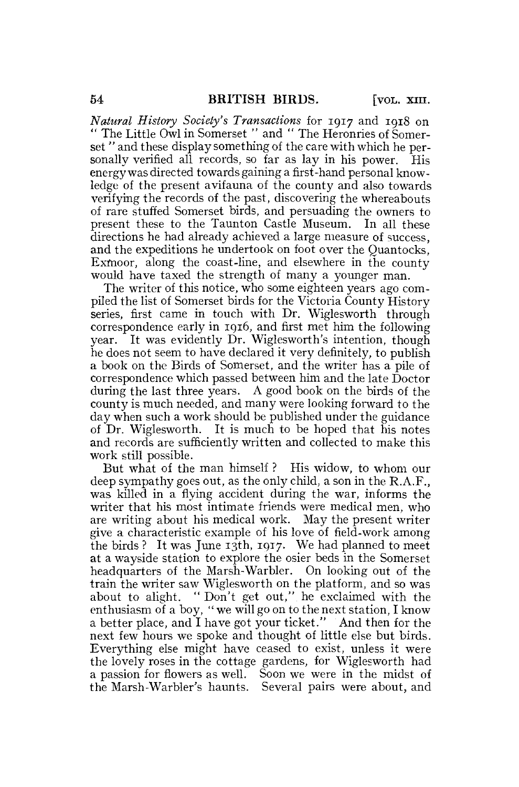*Natural History Society's Transactions* for 1917 and 1918 on " The Little Owl in Somerset " and " The Heronries of Somerset " and these display something of the care with which he personally verified all records, so far as lay in his power. His energy was directed towards gaining a first-hand personal knowledge of the present avifauna of the county and also towards verifying the records of the past, discovering the whereabouts of rare stuffed Somerset birds, and persuading the owners to present these to the Taunton Castle Museum. In all these directions he had already achieved a large measure of success, and the expeditions he undertook on foot over the Quantocks, Exmoor, along the coast-line, and elsewhere in the county would have taxed the strength of many a younger man.

The writer of this notice, who some eighteen years ago compiled the list of Somerset birds for the Victoria County History series, first came in touch with Dr. Wiglesworth through correspondence early in 1916, and first met him the following year. It was evidently Dr. Wiglesworth's intention, though he does not seem to have declared it very definitely, to publish a book on the Birds of Somerset, and the writer has a pile of correspondence which passed between him and the late Doctor during the last three years. A good book on the birds of the county is much needed, and many were looking forward to the day when such a work should be published under the guidance of Dr. Wiglesworth. It is much to be hoped that his notes and records are sufficiently written and collected to make this work still possible.

But what of the man himself ? His widow, to whom our deep sympathy goes out, as the only child, a son in the R.A.F., was killed in a flying accident during the war, informs the writer that his most intimate friends were medical men, who are writing about his medical work. May the present writer give a characteristic example of his love of field-work among the birds? It was June  $13th$ ,  $1917$ . We had planned to meet at a wayside station to explore the osier beds in the Somerset headquarters of the Marsh-Warbler. On looking out of the train the writer saw Wiglesworth on the platform, and so was about to alight. " Don't get out," he exclaimed with the enthusiasm of a boy, "we will go on to the next station, I know a better place, and I have got your ticket." And then for the next few hours we spoke and thought of little else but birds. Everything else might have ceased to exist, unless it were the lovely roses in the cottage gardens, for Wiglesworth had a passion for flowers as well. Soon we were in the midst of the Marsh-Warbler's haunts. Several pairs were about, and